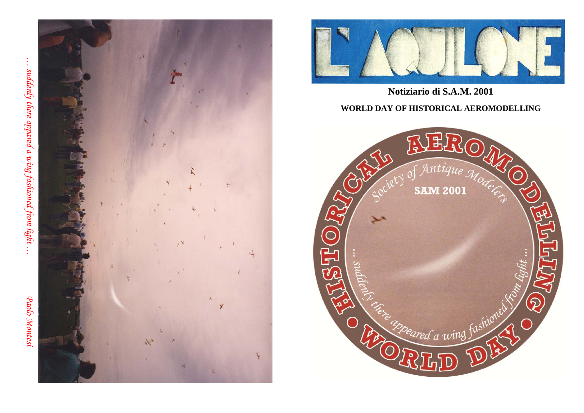